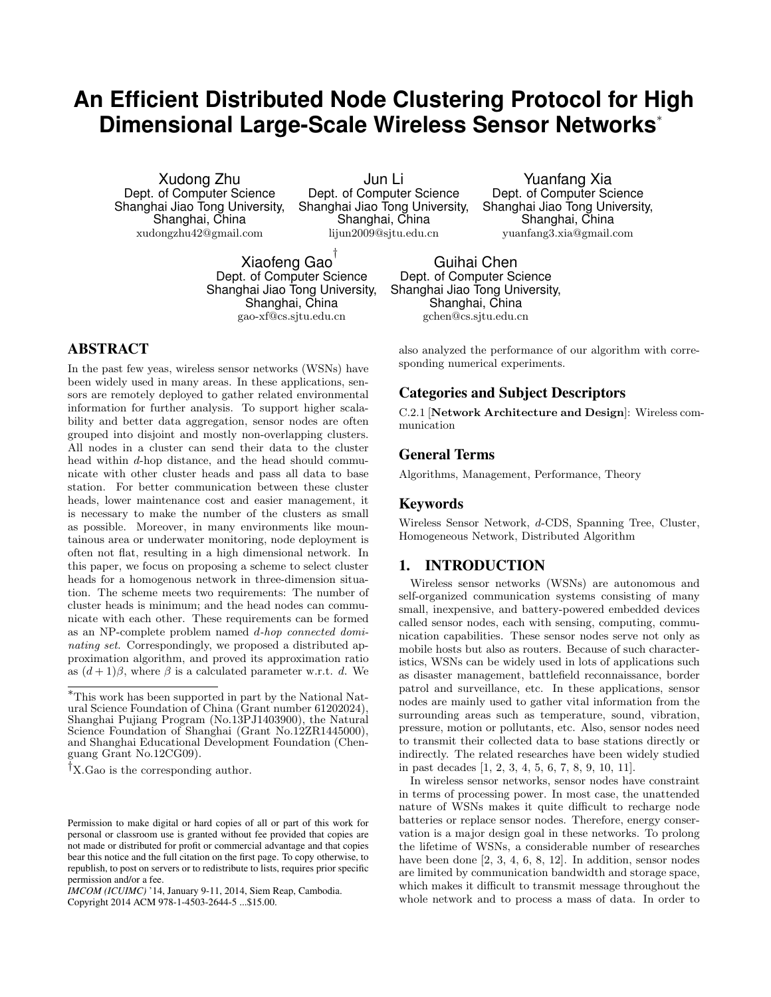# **An Efficient Distributed Node Clustering Protocol for High Dimensional Large-Scale Wireless Sensor Networks**<sup>∗</sup>

Xudong Zhu Dept. of Computer Science Shanghai Jiao Tong University, Shanghai, China xudongzhu42@gmail.com

Jun Li Dept. of Computer Science Shanghai Jiao Tong University, Shanghai, China lijun2009@sjtu.edu.cn

Xiaofeng Gao † Dept. of Computer Science Shanghai Jiao Tong University, Shanghai, China gao-xf@cs.sjtu.edu.cn

ABSTRACT

In the past few yeas, wireless sensor networks (WSNs) have been widely used in many areas. In these applications, sensors are remotely deployed to gather related environmental information for further analysis. To support higher scalability and better data aggregation, sensor nodes are often grouped into disjoint and mostly non-overlapping clusters. All nodes in a cluster can send their data to the cluster head within d-hop distance, and the head should communicate with other cluster heads and pass all data to base station. For better communication between these cluster heads, lower maintenance cost and easier management, it is necessary to make the number of the clusters as small as possible. Moreover, in many environments like mountainous area or underwater monitoring, node deployment is often not flat, resulting in a high dimensional network. In this paper, we focus on proposing a scheme to select cluster heads for a homogenous network in three-dimension situation. The scheme meets two requirements: The number of cluster heads is minimum; and the head nodes can communicate with each other. These requirements can be formed as an NP-complete problem named d-hop connected dominating set. Correspondingly, we proposed a distributed approximation algorithm, and proved its approximation ratio as  $(d+1)\beta$ , where  $\beta$  is a calculated parameter w.r.t. d. We

Yuanfang Xia Dept. of Computer Science Shanghai Jiao Tong University, Shanghai, China yuanfang3.xia@gmail.com

Guihai Chen Dept. of Computer Science Shanghai Jiao Tong University, Shanghai, China gchen@cs.sjtu.edu.cn

also analyzed the performance of our algorithm with corresponding numerical experiments.

## Categories and Subject Descriptors

C.2.1 [Network Architecture and Design]: Wireless communication

## General Terms

Algorithms, Management, Performance, Theory

#### Keywords

Wireless Sensor Network, d-CDS, Spanning Tree, Cluster, Homogeneous Network, Distributed Algorithm

## 1. INTRODUCTION

Wireless sensor networks (WSNs) are autonomous and self-organized communication systems consisting of many small, inexpensive, and battery-powered embedded devices called sensor nodes, each with sensing, computing, communication capabilities. These sensor nodes serve not only as mobile hosts but also as routers. Because of such characteristics, WSNs can be widely used in lots of applications such as disaster management, battlefield reconnaissance, border patrol and surveillance, etc. In these applications, sensor nodes are mainly used to gather vital information from the surrounding areas such as temperature, sound, vibration, pressure, motion or pollutants, etc. Also, sensor nodes need to transmit their collected data to base stations directly or indirectly. The related researches have been widely studied in past decades [1, 2, 3, 4, 5, 6, 7, 8, 9, 10, 11].

In wireless sensor networks, sensor nodes have constraint in terms of processing power. In most case, the unattended nature of WSNs makes it quite difficult to recharge node batteries or replace sensor nodes. Therefore, energy conservation is a major design goal in these networks. To prolong the lifetime of WSNs, a considerable number of researches have been done [2, 3, 4, 6, 8, 12]. In addition, sensor nodes are limited by communication bandwidth and storage space, which makes it difficult to transmit message throughout the whole network and to process a mass of data. In order to

<sup>∗</sup>This work has been supported in part by the National Natural Science Foundation of China (Grant number 61202024), Shanghai Pujiang Program (No.13PJ1403900), the Natural Science Foundation of Shanghai (Grant No.12ZR1445000), and Shanghai Educational Development Foundation (Chenguang Grant No.12CG09).

 $\mathbf{K}$ . Gao is the corresponding author.

Permission to make digital or hard copies of all or part of this work for personal or classroom use is granted without fee provided that copies are not made or distributed for profit or commercial advantage and that copies bear this notice and the full citation on the first page. To copy otherwise, to republish, to post on servers or to redistribute to lists, requires prior specific permission and/or a fee.

*IMCOM (ICUIMC)* '14, January 9-11, 2014, Siem Reap, Cambodia. Copyright 2014 ACM 978-1-4503-2644-5 ...\$15.00.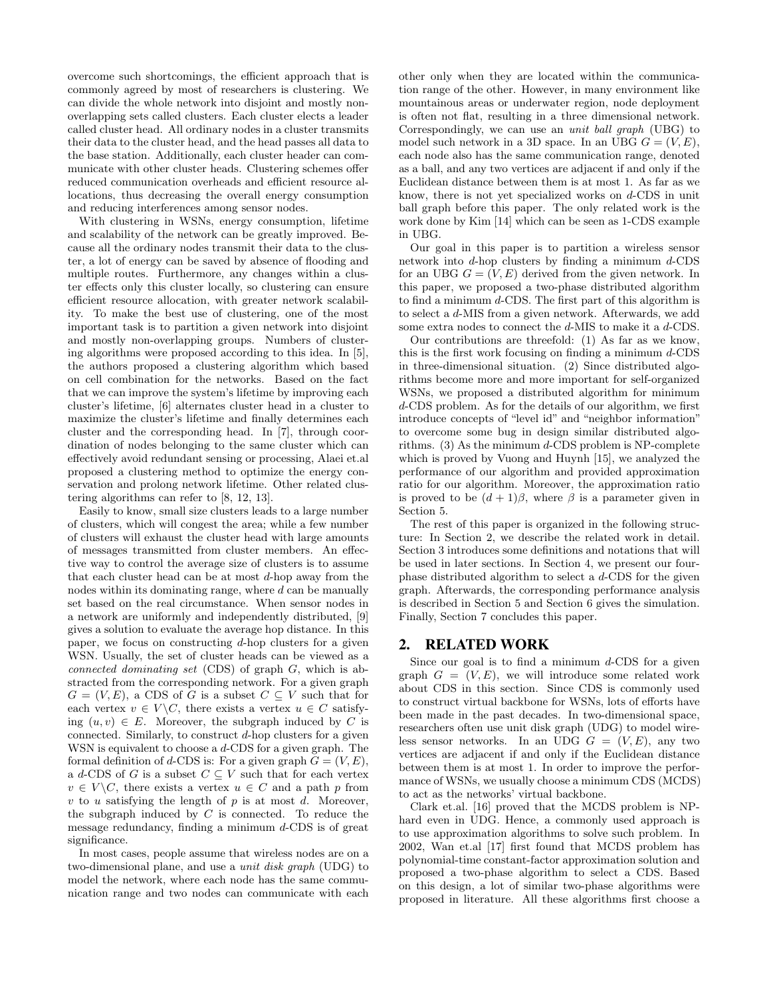overcome such shortcomings, the efficient approach that is commonly agreed by most of researchers is clustering. We can divide the whole network into disjoint and mostly nonoverlapping sets called clusters. Each cluster elects a leader called cluster head. All ordinary nodes in a cluster transmits their data to the cluster head, and the head passes all data to the base station. Additionally, each cluster header can communicate with other cluster heads. Clustering schemes offer reduced communication overheads and efficient resource allocations, thus decreasing the overall energy consumption and reducing interferences among sensor nodes.

With clustering in WSNs, energy consumption, lifetime and scalability of the network can be greatly improved. Because all the ordinary nodes transmit their data to the cluster, a lot of energy can be saved by absence of flooding and multiple routes. Furthermore, any changes within a cluster effects only this cluster locally, so clustering can ensure efficient resource allocation, with greater network scalability. To make the best use of clustering, one of the most important task is to partition a given network into disjoint and mostly non-overlapping groups. Numbers of clustering algorithms were proposed according to this idea. In [5], the authors proposed a clustering algorithm which based on cell combination for the networks. Based on the fact that we can improve the system's lifetime by improving each cluster's lifetime, [6] alternates cluster head in a cluster to maximize the cluster's lifetime and finally determines each cluster and the corresponding head. In [7], through coordination of nodes belonging to the same cluster which can effectively avoid redundant sensing or processing, Alaei et.al proposed a clustering method to optimize the energy conservation and prolong network lifetime. Other related clustering algorithms can refer to [8, 12, 13].

Easily to know, small size clusters leads to a large number of clusters, which will congest the area; while a few number of clusters will exhaust the cluster head with large amounts of messages transmitted from cluster members. An effective way to control the average size of clusters is to assume that each cluster head can be at most d-hop away from the nodes within its dominating range, where d can be manually set based on the real circumstance. When sensor nodes in a network are uniformly and independently distributed, [9] gives a solution to evaluate the average hop distance. In this paper, we focus on constructing d-hop clusters for a given WSN. Usually, the set of cluster heads can be viewed as a connected dominating set (CDS) of graph G, which is abstracted from the corresponding network. For a given graph  $G = (V, E)$ , a CDS of G is a subset  $C \subseteq V$  such that for each vertex  $v \in V \backslash C$ , there exists a vertex  $u \in C$  satisfying  $(u, v) \in E$ . Moreover, the subgraph induced by C is connected. Similarly, to construct  $d$ -hop clusters for a given WSN is equivalent to choose a d-CDS for a given graph. The formal definition of d-CDS is: For a given graph  $G = (V, E)$ , a d-CDS of G is a subset  $C \subseteq V$  such that for each vertex  $v \in V \backslash C$ , there exists a vertex  $u \in C$  and a path p from  $v$  to  $u$  satisfying the length of  $p$  is at most  $d$ . Moreover, the subgraph induced by  $C$  is connected. To reduce the message redundancy, finding a minimum  $d$ -CDS is of great significance.

In most cases, people assume that wireless nodes are on a two-dimensional plane, and use a unit disk graph (UDG) to model the network, where each node has the same communication range and two nodes can communicate with each other only when they are located within the communication range of the other. However, in many environment like mountainous areas or underwater region, node deployment is often not flat, resulting in a three dimensional network. Correspondingly, we can use an unit ball graph (UBG) to model such network in a 3D space. In an UBG  $G = (V, E)$ , each node also has the same communication range, denoted as a ball, and any two vertices are adjacent if and only if the Euclidean distance between them is at most 1. As far as we know, there is not yet specialized works on d-CDS in unit ball graph before this paper. The only related work is the work done by Kim [14] which can be seen as 1-CDS example in UBG.

Our goal in this paper is to partition a wireless sensor network into d-hop clusters by finding a minimum d-CDS for an UBG  $G = (V, E)$  derived from the given network. In this paper, we proposed a two-phase distributed algorithm to find a minimum d-CDS. The first part of this algorithm is to select a d-MIS from a given network. Afterwards, we add some extra nodes to connect the d-MIS to make it a d-CDS.

Our contributions are threefold: (1) As far as we know, this is the first work focusing on finding a minimum  $d$ -CDS in three-dimensional situation. (2) Since distributed algorithms become more and more important for self-organized WSNs, we proposed a distributed algorithm for minimum d-CDS problem. As for the details of our algorithm, we first introduce concepts of "level id" and "neighbor information" to overcome some bug in design similar distributed algorithms. (3) As the minimum d-CDS problem is NP-complete which is proved by Vuong and Huynh [15], we analyzed the performance of our algorithm and provided approximation ratio for our algorithm. Moreover, the approximation ratio is proved to be  $(d+1)\beta$ , where  $\beta$  is a parameter given in Section 5.

The rest of this paper is organized in the following structure: In Section 2, we describe the related work in detail. Section 3 introduces some definitions and notations that will be used in later sections. In Section 4, we present our fourphase distributed algorithm to select a d-CDS for the given graph. Afterwards, the corresponding performance analysis is described in Section 5 and Section 6 gives the simulation. Finally, Section 7 concludes this paper.

## 2. RELATED WORK

Since our goal is to find a minimum  $d$ -CDS for a given graph  $G = (V, E)$ , we will introduce some related work about CDS in this section. Since CDS is commonly used to construct virtual backbone for WSNs, lots of efforts have been made in the past decades. In two-dimensional space, researchers often use unit disk graph (UDG) to model wireless sensor networks. In an UDG  $G = (V, E)$ , any two vertices are adjacent if and only if the Euclidean distance between them is at most 1. In order to improve the performance of WSNs, we usually choose a minimum CDS (MCDS) to act as the networks' virtual backbone.

Clark et.al. [16] proved that the MCDS problem is NPhard even in UDG. Hence, a commonly used approach is to use approximation algorithms to solve such problem. In 2002, Wan et.al [17] first found that MCDS problem has polynomial-time constant-factor approximation solution and proposed a two-phase algorithm to select a CDS. Based on this design, a lot of similar two-phase algorithms were proposed in literature. All these algorithms first choose a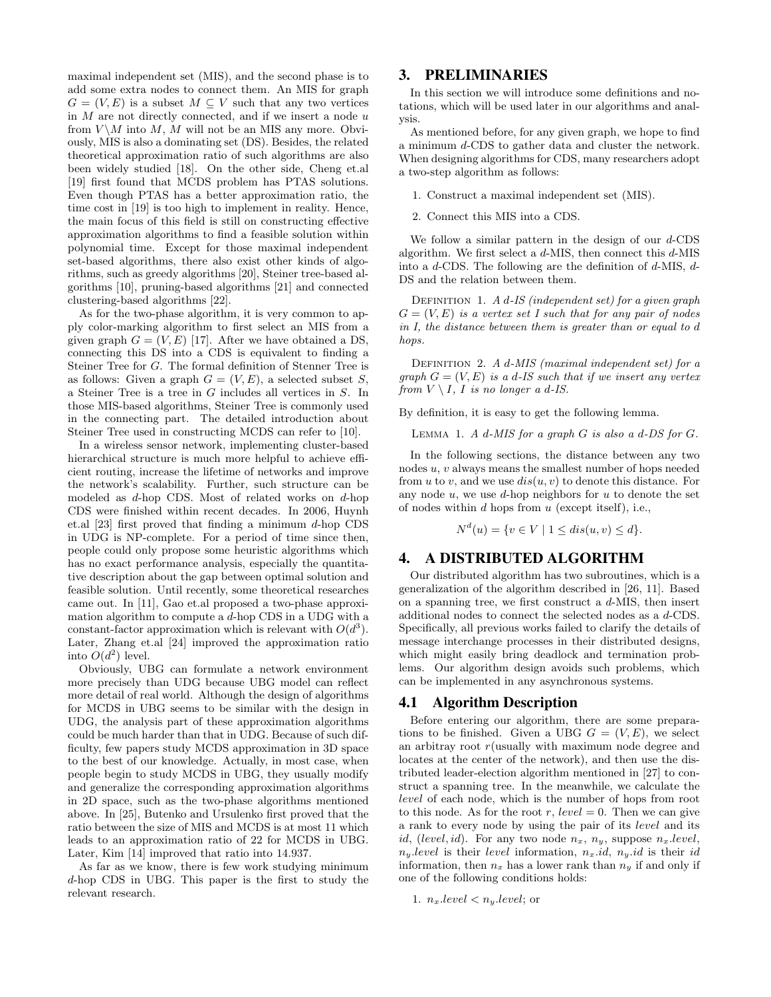maximal independent set (MIS), and the second phase is to add some extra nodes to connect them. An MIS for graph  $G = (V, E)$  is a subset  $M \subseteq V$  such that any two vertices in  $M$  are not directly connected, and if we insert a node  $u$ from  $V \backslash M$  into M, M will not be an MIS any more. Obviously, MIS is also a dominating set (DS). Besides, the related theoretical approximation ratio of such algorithms are also been widely studied [18]. On the other side, Cheng et.al [19] first found that MCDS problem has PTAS solutions. Even though PTAS has a better approximation ratio, the time cost in [19] is too high to implement in reality. Hence, the main focus of this field is still on constructing effective approximation algorithms to find a feasible solution within polynomial time. Except for those maximal independent set-based algorithms, there also exist other kinds of algorithms, such as greedy algorithms [20], Steiner tree-based algorithms [10], pruning-based algorithms [21] and connected clustering-based algorithms [22].

As for the two-phase algorithm, it is very common to apply color-marking algorithm to first select an MIS from a given graph  $G = (V, E)$  [17]. After we have obtained a DS, connecting this DS into a CDS is equivalent to finding a Steiner Tree for G. The formal definition of Stenner Tree is as follows: Given a graph  $G = (V, E)$ , a selected subset S, a Steiner Tree is a tree in G includes all vertices in S. In those MIS-based algorithms, Steiner Tree is commonly used in the connecting part. The detailed introduction about Steiner Tree used in constructing MCDS can refer to [10].

In a wireless sensor network, implementing cluster-based hierarchical structure is much more helpful to achieve efficient routing, increase the lifetime of networks and improve the network's scalability. Further, such structure can be modeled as d-hop CDS. Most of related works on d-hop CDS were finished within recent decades. In 2006, Huynh et.al [23] first proved that finding a minimum d-hop CDS in UDG is NP-complete. For a period of time since then, people could only propose some heuristic algorithms which has no exact performance analysis, especially the quantitative description about the gap between optimal solution and feasible solution. Until recently, some theoretical researches came out. In [11], Gao et.al proposed a two-phase approximation algorithm to compute a d-hop CDS in a UDG with a constant-factor approximation which is relevant with  $O(d^3)$ . Later, Zhang et.al [24] improved the approximation ratio into  $O(d^2)$  level.

Obviously, UBG can formulate a network environment more precisely than UDG because UBG model can reflect more detail of real world. Although the design of algorithms for MCDS in UBG seems to be similar with the design in UDG, the analysis part of these approximation algorithms could be much harder than that in UDG. Because of such difficulty, few papers study MCDS approximation in 3D space to the best of our knowledge. Actually, in most case, when people begin to study MCDS in UBG, they usually modify and generalize the corresponding approximation algorithms in 2D space, such as the two-phase algorithms mentioned above. In [25], Butenko and Ursulenko first proved that the ratio between the size of MIS and MCDS is at most 11 which leads to an approximation ratio of 22 for MCDS in UBG. Later, Kim [14] improved that ratio into 14.937.

As far as we know, there is few work studying minimum d-hop CDS in UBG. This paper is the first to study the relevant research.

## 3. PRELIMINARIES

In this section we will introduce some definitions and notations, which will be used later in our algorithms and analysis.

As mentioned before, for any given graph, we hope to find a minimum d-CDS to gather data and cluster the network. When designing algorithms for CDS, many researchers adopt a two-step algorithm as follows:

1. Construct a maximal independent set (MIS).

2. Connect this MIS into a CDS.

We follow a similar pattern in the design of our  $d$ -CDS algorithm. We first select a  $d$ -MIS, then connect this  $d$ -MIS into a  $d$ -CDS. The following are the definition of  $d$ -MIS,  $d$ -DS and the relation between them.

DEFINITION 1. A  $d$ -IS (independent set) for a given graph  $G = (V, E)$  is a vertex set I such that for any pair of nodes in I, the distance between them is greater than or equal to d hops.

DEFINITION 2. A d-MIS (maximal independent set) for a graph  $G = (V, E)$  is a d-IS such that if we insert any vertex from  $V \setminus I$ , I is no longer a d-IS.

By definition, it is easy to get the following lemma.

LEMMA 1. A  $d$ -MIS for a graph  $G$  is also a  $d$ -DS for  $G$ .

In the following sections, the distance between any two nodes u, v always means the smallest number of hops needed from u to v, and we use  $dis(u, v)$  to denote this distance. For any node  $u$ , we use  $d$ -hop neighbors for  $u$  to denote the set of nodes within  $d$  hops from  $u$  (except itself), i.e.,

$$
N^{d}(u) = \{ v \in V \mid 1 \le dis(u, v) \le d \}.
$$

## 4. A DISTRIBUTED ALGORITHM

Our distributed algorithm has two subroutines, which is a generalization of the algorithm described in [26, 11]. Based on a spanning tree, we first construct a d-MIS, then insert additional nodes to connect the selected nodes as a d-CDS. Specifically, all previous works failed to clarify the details of message interchange processes in their distributed designs, which might easily bring deadlock and termination problems. Our algorithm design avoids such problems, which can be implemented in any asynchronous systems.

## 4.1 Algorithm Description

Before entering our algorithm, there are some preparations to be finished. Given a UBG  $G = (V, E)$ , we select an arbitray root  $r$  (usually with maximum node degree and locates at the center of the network), and then use the distributed leader-election algorithm mentioned in [27] to construct a spanning tree. In the meanwhile, we calculate the level of each node, which is the number of hops from root to this node. As for the root r,  $level = 0$ . Then we can give a rank to every node by using the pair of its level and its id, (level, id). For any two node  $n_x$ ,  $n_y$ , suppose  $n_x$ .level,  $n_y.\text{level}$  is their level information,  $n_x.i.d$ ,  $n_y.i.d$  is their id information, then  $n_x$  has a lower rank than  $n_y$  if and only if one of the following conditions holds:

1.  $n_x.\text{level} < n_y.\text{level}$ ; or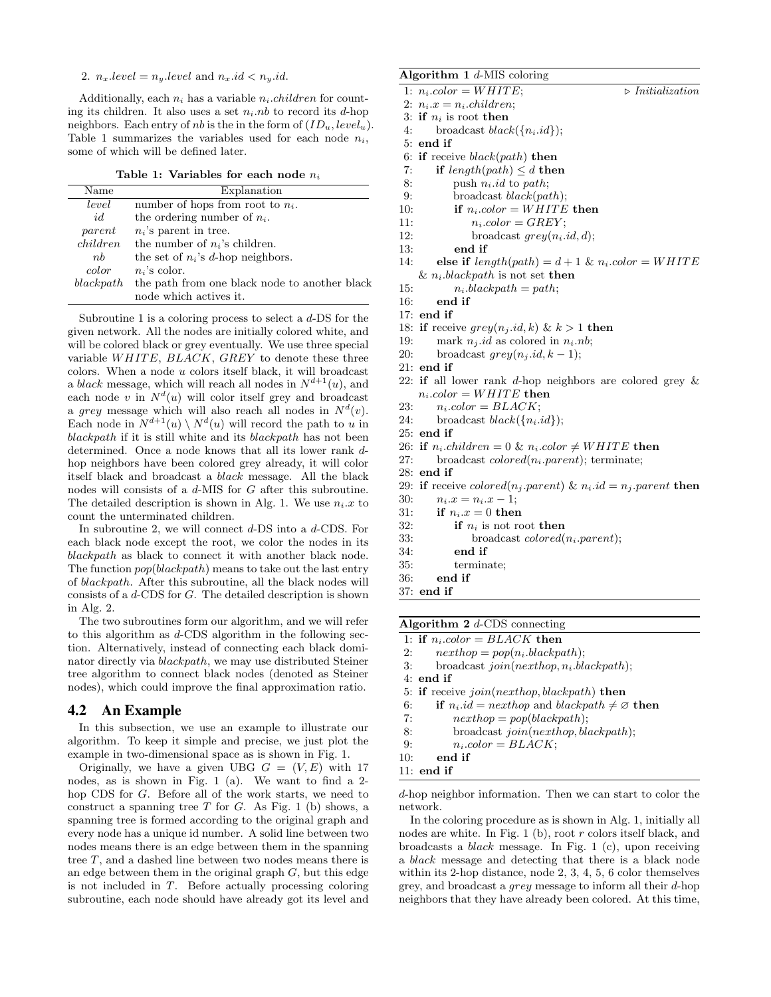#### 2.  $n_x.\text{level} = n_y.\text{level}$  and  $n_x.\text{id} < n_y.\text{id}$ .

Additionally, each  $n_i$  has a variable  $n_i$ .*children* for counting its children. It also uses a set  $n_i$ .nb to record its d-hop neighbors. Each entry of nb is the in the form of  $(ID_u, level_u)$ . Table 1 summarizes the variables used for each node  $n_i$ , some of which will be defined later.

|  | Table 1: Variables for each node $n_i$ |  |  |  |
|--|----------------------------------------|--|--|--|
|--|----------------------------------------|--|--|--|

| Name       | Explanation                                   |  |  |
|------------|-----------------------------------------------|--|--|
| level      | number of hops from root to $n_i$ .           |  |  |
| id         | the ordering number of $n_i$ .                |  |  |
| parent     | $n_i$ 's parent in tree.                      |  |  |
| children   | the number of $n_i$ 's children.              |  |  |
| nb         | the set of $n_i$ 's d-hop neighbors.          |  |  |
| color      | $n_i$ 's color.                               |  |  |
| black path | the path from one black node to another black |  |  |
|            | node which actives it.                        |  |  |

Subroutine  $1$  is a coloring process to select a  $d$ -DS for the given network. All the nodes are initially colored white, and will be colored black or grey eventually. We use three special variable  $WHITE$ ,  $BLACK$ ,  $GREY$  to denote these three colors. When a node u colors itself black, it will broadcast a *black* message, which will reach all nodes in  $N^{d+1}(u)$ , and each node v in  $N<sup>d</sup>(u)$  will color itself grey and broadcast a grey message which will also reach all nodes in  $N^d(v)$ . Each node in  $N^{d+1}(u) \setminus N^d(u)$  will record the path to u in blackpath if it is still white and its blackpath has not been determined. Once a node knows that all its lower rank dhop neighbors have been colored grey already, it will color itself black and broadcast a black message. All the black nodes will consists of a  $d$ -MIS for  $G$  after this subroutine. The detailed description is shown in Alg. 1. We use  $n_i \, x$  to count the unterminated children.

In subroutine 2, we will connect  $d$ -DS into a  $d$ -CDS. For each black node except the root, we color the nodes in its blackpath as black to connect it with another black node. The function  $pop(blackpath)$  means to take out the last entry of blackpath. After this subroutine, all the black nodes will consists of a d-CDS for G. The detailed description is shown in Alg. 2.

The two subroutines form our algorithm, and we will refer to this algorithm as d-CDS algorithm in the following section. Alternatively, instead of connecting each black dominator directly via blackpath, we may use distributed Steiner tree algorithm to connect black nodes (denoted as Steiner nodes), which could improve the final approximation ratio.

#### 4.2 An Example

In this subsection, we use an example to illustrate our algorithm. To keep it simple and precise, we just plot the example in two-dimensional space as is shown in Fig. 1.

Originally, we have a given UBG  $G = (V, E)$  with 17 nodes, as is shown in Fig. 1 (a). We want to find a 2 hop CDS for G. Before all of the work starts, we need to construct a spanning tree  $T$  for  $G$ . As Fig. 1 (b) shows, a spanning tree is formed according to the original graph and every node has a unique id number. A solid line between two nodes means there is an edge between them in the spanning tree T, and a dashed line between two nodes means there is an edge between them in the original graph  $G$ , but this edge is not included in T. Before actually processing coloring subroutine, each node should have already got its level and

#### Algorithm  $1$   $d$ -MIS coloring

- 1:  $n_i \text{.color} = WHITE;$   $\triangleright$  Initialization
- 2:  $n_i.x = n_i.cchildren;$
- 3: if  $n_i$  is root then
- 4: broadcast  $black({n_i.id})$ ;
- 5: end if
- 6: if receive  $black(path)$  then
- 7: if  $length(path) \leq d$  then
- 8: push  $n_i$ *id* to path;
- 9: broadcast  $black(path)$ :
- 10: if  $n_i \text{.color} = WHITE$  then
- 11:  $n_i \text{.color} = GREV;$
- 12: broadcast  $grey(n_i.id, d);$
- 13: end if
- 14: else if  $length(path) = d + 1 \& n_i-color = WHICH$ &  $n_i.blackpath$  is not set then
- 15:  $n_i.blackpath = path;$
- 16: end if
- 17: end if
- 18: if receive  $grey(n_j.id, k) \& k > 1$  then
- 19: mark  $n_i$  *id* as colored in  $n_i$  *nb*;
- 20: broadcast  $grey(n_j.id, k-1);$
- 21: end if
- 
- 22: if all lower rank d-hop neighbors are colored grey &  $n_i{\rm.}color={WHITE}$  then
- 23:  $n_i \text{.color} = BLACK;$
- 24: broadcast  $black({n_i.id})$ ;
- 25: end if
- 26: if  $n_i$ .children = 0 &  $n_i$ .color  $\neq$  WHITE then
- 27: broadcast  $colored(n_i.parent)$ ; terminate;
- 28: end if
- 29: if receive colored(n<sub>j</sub> parent) &  $n_i$  id =  $n_j$  parent then
- 30:  $n_i.x = n_i.x 1;$
- 31: if  $n_i.x = 0$  then
- 32: if  $n_i$  is not root then
- 33: broadcast  $colored(n_i.parent);$
- 34: end if
- 35: terminate;
- 36: end if
- 37: end if

Algorithm 2 d-CDS connecting

- 1: if  $n_i \text{.color} = BLACK$  then
- 2:  $nexthop = pop(n_i.blackpath);$ <br>3: broadcast join(nexthop, n<sub>i</sub>.bl.
- broadcast  $join(nexthop, n_i.blackpath);$
- 4: end if
- 5: if receive join(nexthop, blackpath) then
- 6: if  $n_i.id = nexthop$  and  $blackpath \neq \emptyset$  then
- 7:  $\qquad \qquad \textit{nexthop} = \textit{pop}(blackpath);$
- 8: broadcast  $join(nexthop, blackpath);$
- 9:  $n_i \text{.color} = BLACK;$
- 10: end if
- 11: end if

d-hop neighbor information. Then we can start to color the network.

In the coloring procedure as is shown in Alg. 1, initially all nodes are white. In Fig. 1 (b), root r colors itself black, and broadcasts a black message. In Fig. 1 (c), upon receiving a black message and detecting that there is a black node within its 2-hop distance, node 2, 3, 4, 5, 6 color themselves grey, and broadcast a grey message to inform all their d-hop neighbors that they have already been colored. At this time,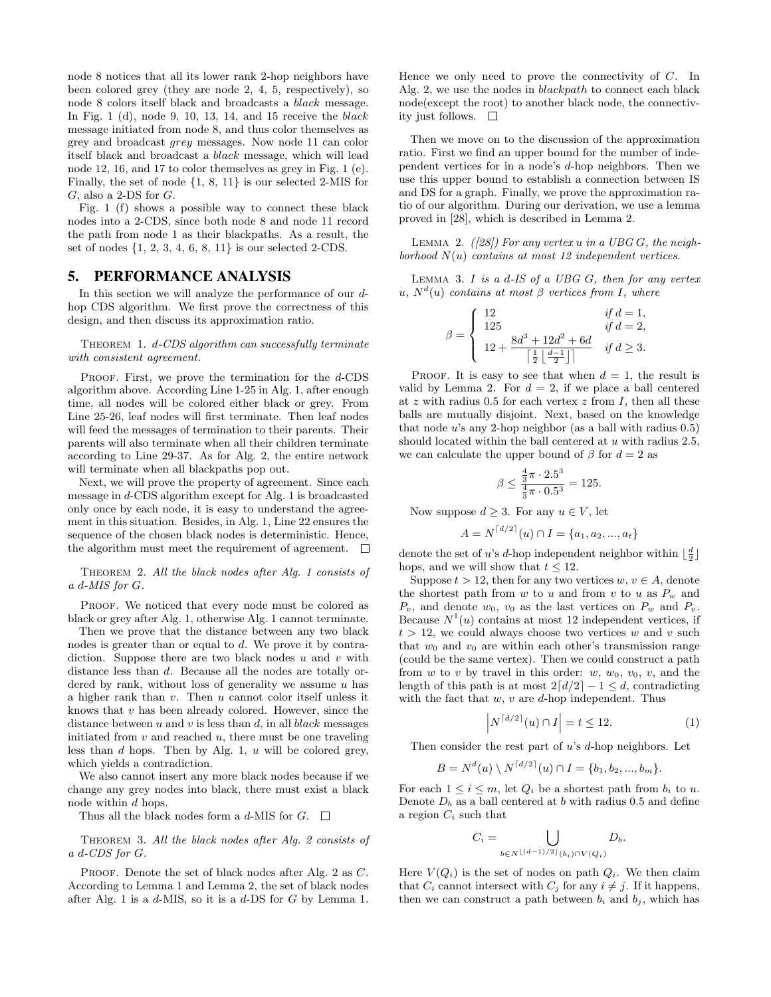node 8 notices that all its lower rank 2-hop neighbors have been colored grey (they are node 2, 4, 5, respectively), so node 8 colors itself black and broadcasts a black message. In Fig. 1 (d), node 9, 10, 13, 14, and 15 receive the black message initiated from node 8, and thus color themselves as grey and broadcast grey messages. Now node 11 can color itself black and broadcast a black message, which will lead node 12, 16, and 17 to color themselves as grey in Fig. 1 (e). Finally, the set of node {1, 8, 11} is our selected 2-MIS for  $G$ , also a 2-DS for  $G$ .

Fig. 1 (f) shows a possible way to connect these black nodes into a 2-CDS, since both node 8 and node 11 record the path from node 1 as their blackpaths. As a result, the set of nodes {1, 2, 3, 4, 6, 8, 11} is our selected 2-CDS.

## 5. PERFORMANCE ANALYSIS

In this section we will analyze the performance of our dhop CDS algorithm. We first prove the correctness of this design, and then discuss its approximation ratio.

THEOREM 1. d-CDS algorithm can successfully terminate with consistent agreement.

PROOF. First, we prove the termination for the  $d$ -CDS algorithm above. According Line 1-25 in Alg. 1, after enough time, all nodes will be colored either black or grey. From Line 25-26, leaf nodes will first terminate. Then leaf nodes will feed the messages of termination to their parents. Their parents will also terminate when all their children terminate according to Line 29-37. As for Alg. 2, the entire network will terminate when all blackpaths pop out.

Next, we will prove the property of agreement. Since each message in d-CDS algorithm except for Alg. 1 is broadcasted only once by each node, it is easy to understand the agreement in this situation. Besides, in Alg. 1, Line 22 ensures the sequence of the chosen black nodes is deterministic. Hence, the algorithm must meet the requirement of agreement.  $\Box$ 

Theorem 2. All the black nodes after Alg. 1 consists of a d-MIS for G.

PROOF. We noticed that every node must be colored as black or grey after Alg. 1, otherwise Alg. 1 cannot terminate.

Then we prove that the distance between any two black nodes is greater than or equal to d. We prove it by contradiction. Suppose there are two black nodes  $u$  and  $v$  with distance less than d. Because all the nodes are totally ordered by rank, without loss of generality we assume  $u$  has a higher rank than  $v$ . Then  $u$  cannot color itself unless it knows that  $v$  has been already colored. However, since the distance between  $u$  and  $v$  is less than  $d$ , in all black messages initiated from  $v$  and reached  $u$ , there must be one traveling less than  $d$  hops. Then by Alg. 1,  $u$  will be colored grey, which yields a contradiction.

We also cannot insert any more black nodes because if we change any grey nodes into black, there must exist a black node within d hops.

Thus all the black nodes form a d-MIS for  $G$ .  $\square$ 

Theorem 3. All the black nodes after Alg. 2 consists of a d-CDS for G.

PROOF. Denote the set of black nodes after Alg. 2 as C. According to Lemma 1 and Lemma 2, the set of black nodes after Alg. 1 is a d-MIS, so it is a d-DS for G by Lemma 1. Hence we only need to prove the connectivity of C. In Alg. 2, we use the nodes in *blackpath* to connect each black node(except the root) to another black node, the connectivity just follows.

Then we move on to the discussion of the approximation ratio. First we find an upper bound for the number of independent vertices for in a node's d-hop neighbors. Then we use this upper bound to establish a connection between IS and DS for a graph. Finally, we prove the approximation ratio of our algorithm. During our derivation, we use a lemma proved in [28], which is described in Lemma 2.

LEMMA 2.  $(28)$  For any vertex u in a UBG G, the neighborhood  $N(u)$  contains at most 12 independent vertices.

LEMMA 3. I is a  $d$ -IS of a UBG G, then for any vertex u,  $N<sup>d</sup>(u)$  contains at most  $\beta$  vertices from I, where

$$
\beta = \begin{cases}\n12 & \text{if } d = 1, \\
125 & \text{if } d = 2, \\
12 + \frac{8d^3 + 12d^2 + 6d}{\left[\frac{1}{2}\left[\frac{d-1}{2}\right]\right]} & \text{if } d \ge 3.\n\end{cases}
$$

PROOF. It is easy to see that when  $d = 1$ , the result is valid by Lemma 2. For  $d = 2$ , if we place a ball centered at  $z$  with radius 0.5 for each vertex  $z$  from  $I$ , then all these balls are mutually disjoint. Next, based on the knowledge that node  $u$ 's any 2-hop neighbor (as a ball with radius  $(0.5)$ ) should located within the ball centered at  $u$  with radius 2.5, we can calculate the upper bound of  $\beta$  for  $d = 2$  as

$$
\beta \le \frac{\frac{4}{3}\pi \cdot 2.5^3}{\frac{4}{3}\pi \cdot 0.5^3} = 125.
$$

Now suppose  $d \geq 3$ . For any  $u \in V$ , let

$$
A = N^{\lceil d/2 \rceil}(u) \cap I = \{a_1, a_2, ..., a_t\}
$$

denote the set of u's d-hop independent neighbor within  $\lfloor \frac{d}{2} \rfloor$ hops, and we will show that  $t \leq 12$ .

Suppose  $t > 12$ , then for any two vertices  $w, v \in A$ , denote the shortest path from  $w$  to  $u$  and from  $v$  to  $u$  as  $P_w$  and  $P_v$ , and denote  $w_0$ ,  $v_0$  as the last vertices on  $P_w$  and  $P_v$ . Because  $N^1(u)$  contains at most 12 independent vertices, if  $t > 12$ , we could always choose two vertices w and v such that  $w_0$  and  $v_0$  are within each other's transmission range (could be the same vertex). Then we could construct a path from w to v by travel in this order:  $w, w_0, v_0, v$ , and the length of this path is at most  $2\lceil d/2 \rceil - 1 \leq d$ , contradicting with the fact that  $w, v$  are  $d$ -hop independent. Thus

$$
\left|N^{\lceil d/2\rceil}(u)\cap I\right| = t \le 12.
$$
 (1)

Then consider the rest part of  $u$ 's  $d$ -hop neighbors. Let

$$
B = N^{d}(u) \setminus N^{\lceil d/2 \rceil}(u) \cap I = \{b_1, b_2, ..., b_m\}.
$$

For each  $1 \leq i \leq m$ , let  $Q_i$  be a shortest path from  $b_i$  to u. Denote  $D<sub>b</sub>$  as a ball centered at b with radius 0.5 and define a region  $C_i$  such that

$$
C_i = \bigcup_{b \in N^{\lfloor (d-1)/2 \rfloor}(b_i) \cap V(Q_i)} D_b.
$$

Here  $V(Q_i)$  is the set of nodes on path  $Q_i$ . We then claim that  $C_i$  cannot intersect with  $C_j$  for any  $i \neq j$ . If it happens, then we can construct a path between  $b_i$  and  $b_j$ , which has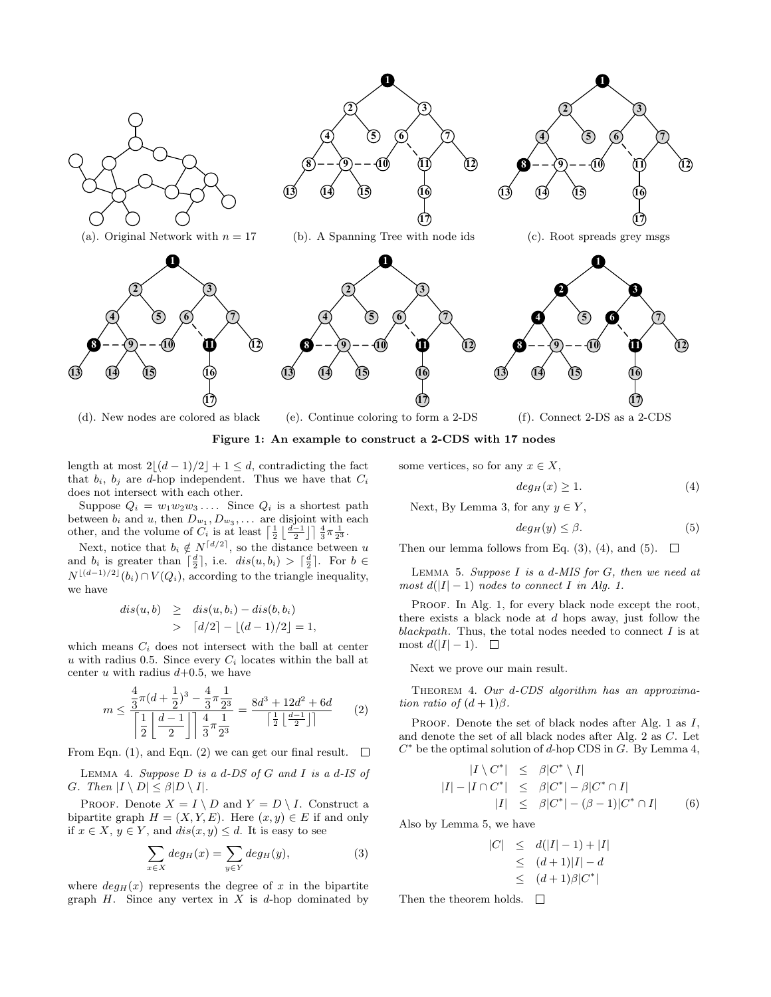

Figure 1: An example to construct a 2-CDS with 17 nodes

length at most  $2|(d - 1)/2| + 1 \leq d$ , contradicting the fact that  $b_i$ ,  $b_j$  are d-hop independent. Thus we have that  $C_i$ does not intersect with each other.

Suppose  $Q_i = w_1w_2w_3 \ldots$  Since  $Q_i$  is a shortest path between  $b_i$  and  $u$ , then  $D_{w_1}, D_{w_3}, \ldots$  are disjoint with each other, and the volume of  $C_i$  is at least  $\left[\frac{1}{2} \left\lfloor \frac{d-1}{2} \right\rfloor \right] \frac{4}{3} \pi \frac{1}{2^3}$ .

Next, notice that  $b_i \notin N^{\lceil d/2 \rceil}$ , so the distance between u and  $b_i$  is greater than  $\lceil \frac{d}{2} \rceil$ , i.e.  $dis(u, b_i) > \lceil \frac{d}{2} \rceil$ . For  $b \in$  $N^{\lfloor (d-1)/2 \rfloor}(b_i) \cap V(Q_i)$ , according to the triangle inequality, we have

$$
dis(u, b) \ge dis(u, b_i) - dis(b, b_i) > [d/2] - [(d - 1)/2] = 1,
$$

which means  $C_i$  does not intersect with the ball at center u with radius 0.5. Since every  $C_i$  locates within the ball at center u with radius  $d+0.5$ , we have

$$
m \le \frac{\frac{4}{3}\pi (d + \frac{1}{2})^3 - \frac{4}{3}\pi \frac{1}{2^3}}{\left\lceil \frac{1}{2} \left\lfloor \frac{d-1}{2} \right\rfloor \right\rceil \frac{4}{3}\pi \frac{1}{2^3}} = \frac{8d^3 + 12d^2 + 6d}{\left\lceil \frac{1}{2} \left\lfloor \frac{d-1}{2} \right\rfloor \right\rceil} \tag{2}
$$

From Eqn. (1), and Eqn. (2) we can get our final result.  $\Box$ 

LEMMA 4. Suppose  $D$  is a  $d$ - $DS$  of  $G$  and  $I$  is a  $d$ - $IS$  of G. Then  $|I \setminus D| \leq \beta |D \setminus I|$ .

PROOF. Denote  $X = I \setminus D$  and  $Y = D \setminus I$ . Construct a bipartite graph  $H = (X, Y, E)$ . Here  $(x, y) \in E$  if and only if  $x \in X$ ,  $y \in Y$ , and  $dis(x, y) \leq d$ . It is easy to see

$$
\sum_{x \in X} deg_H(x) = \sum_{y \in Y} deg_H(y), \tag{3}
$$

where  $deg_H(x)$  represents the degree of x in the bipartite graph  $H$ . Since any vertex in  $X$  is  $d$ -hop dominated by

some vertices, so for any  $x \in X$ ,

$$
deg_H(x) \ge 1. \tag{4}
$$

Next, By Lemma 3, for any  $y \in Y$ ,

$$
deg_H(y) \le \beta. \tag{5}
$$

Then our lemma follows from Eq. (3), (4), and (5).  $\Box$ 

LEMMA 5. Suppose  $I$  is a  $d$ -MIS for  $G$ , then we need at most  $d(|I| - 1)$  nodes to connect I in Alg. 1.

PROOF. In Alg. 1, for every black node except the root, there exists a black node at d hops away, just follow the blackpath. Thus, the total nodes needed to connect  $I$  is at most  $d(|I| - 1)$ .  $\Box$ 

Next we prove our main result.

THEOREM 4. Our d-CDS algorithm has an approximation ratio of  $(d+1)\beta$ .

PROOF. Denote the set of black nodes after Alg. 1 as  $I$ , and denote the set of all black nodes after Alg. 2 as C. Let  $C^*$  be the optimal solution of d-hop CDS in G. By Lemma 4,

$$
|I \setminus C^*| \leq \beta |C^* \setminus I|
$$
  
\n
$$
|I| - |I \cap C^*| \leq \beta |C^*| - \beta |C^* \cap I|
$$
  
\n
$$
|I| \leq \beta |C^*| - (\beta - 1)|C^* \cap I|
$$
 (6)

Also by Lemma 5, we have

$$
|C| \le d(|I| - 1) + |I| \n\le (d+1)|I| - d \n\le (d+1)\beta|C^*|
$$

Then the theorem holds.  $\quad \Box$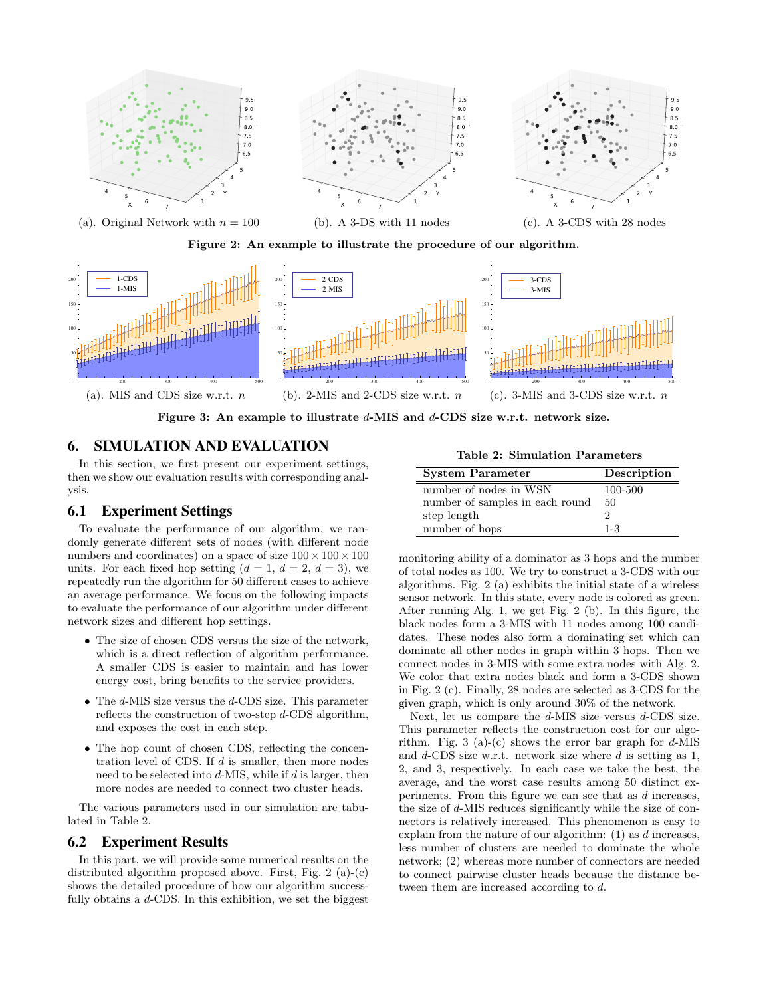

Figure 2: An example to illustrate the procedure of our algorithm.



Figure 3: An example to illustrate d-MIS and d-CDS size w.r.t. network size.

## 6. SIMULATION AND EVALUATION

In this section, we first present our experiment settings, then we show our evaluation results with corresponding analysis.

## 6.1 Experiment Settings

To evaluate the performance of our algorithm, we randomly generate different sets of nodes (with different node numbers and coordinates) on a space of size  $100 \times 100 \times 100$ units. For each fixed hop setting  $(d = 1, d = 2, d = 3)$ , we repeatedly run the algorithm for 50 different cases to achieve an average performance. We focus on the following impacts to evaluate the performance of our algorithm under different network sizes and different hop settings.

- The size of chosen CDS versus the size of the network, which is a direct reflection of algorithm performance. A smaller CDS is easier to maintain and has lower energy cost, bring benefits to the service providers.
- The d-MIS size versus the d-CDS size. This parameter reflects the construction of two-step d-CDS algorithm, and exposes the cost in each step.
- The hop count of chosen CDS, reflecting the concentration level of CDS. If  $d$  is smaller, then more nodes need to be selected into  $d$ -MIS, while if  $d$  is larger, then more nodes are needed to connect two cluster heads.

The various parameters used in our simulation are tabulated in Table 2.

### 6.2 Experiment Results

In this part, we will provide some numerical results on the distributed algorithm proposed above. First, Fig. 2 (a)-(c) shows the detailed procedure of how our algorithm successfully obtains a d-CDS. In this exhibition, we set the biggest

Table 2: Simulation Parameters

| <b>System Parameter</b>         | Description |
|---------------------------------|-------------|
| number of nodes in WSN          | 100-500     |
| number of samples in each round | 50          |
| step length                     |             |
| number of hops                  | $1-3$       |

monitoring ability of a dominator as 3 hops and the number of total nodes as 100. We try to construct a 3-CDS with our algorithms. Fig. 2 (a) exhibits the initial state of a wireless sensor network. In this state, every node is colored as green. After running Alg. 1, we get Fig. 2 (b). In this figure, the black nodes form a 3-MIS with 11 nodes among 100 candidates. These nodes also form a dominating set which can dominate all other nodes in graph within 3 hops. Then we connect nodes in 3-MIS with some extra nodes with Alg. 2. We color that extra nodes black and form a 3-CDS shown in Fig. 2 (c). Finally, 28 nodes are selected as 3-CDS for the given graph, which is only around 30% of the network.

Next, let us compare the d-MIS size versus d-CDS size. This parameter reflects the construction cost for our algorithm. Fig. 3 (a)-(c) shows the error bar graph for  $d$ -MIS and  $d$ -CDS size w.r.t. network size where  $d$  is setting as 1, 2, and 3, respectively. In each case we take the best, the average, and the worst case results among 50 distinct experiments. From this figure we can see that as  $d$  increases, the size of d-MIS reduces significantly while the size of connectors is relatively increased. This phenomenon is easy to explain from the nature of our algorithm:  $(1)$  as d increases, less number of clusters are needed to dominate the whole network; (2) whereas more number of connectors are needed to connect pairwise cluster heads because the distance between them are increased according to d.